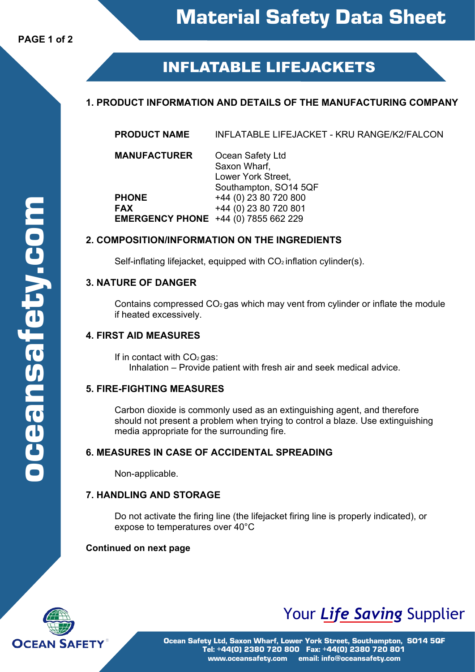# **INFLATABLE LIFEJACKETS**

# **1. PRODUCT INFORMATION AND DETAILS OF THE MANUFACTURING COMPANY**

| <b>PRODUCT NAME</b> | INFLATABLE LIFEJACKET - KRU RANGE/K2/FALCON |
|---------------------|---------------------------------------------|
|                     |                                             |

**MANUFACTURER** Ocean Safety Ltd Saxon Wharf, Lower York Street, Southampton, SO14 5QF **PHONE** +44 (0) 23 80 720 800<br> **FAX** +44 (0) 23 80 720 801 **FAX** +44 (0) 23 80 720 801

## **2. COMPOSITION/INFORMATION ON THE INGREDIENTS**

**EMERGENCY PHONE** +44 (0) 7855 662 229

Self-inflating lifejacket, equipped with  $CO<sub>2</sub>$  inflation cylinder(s).

## **3. NATURE OF DANGER**

Contains compressed  $CO<sub>2</sub>$  gas which may vent from cylinder or inflate the module if heated excessively.

# **4. FIRST AID MEASURES**

If in contact with  $CO<sub>2</sub>$  gas: Inhalation – Provide patient with fresh air and seek medical advice.

## **5. FIRE-FIGHTING MEASURES**

Carbon dioxide is commonly used as an extinguishing agent, and therefore should not present a problem when trying to control a blaze. Use extinguishing media appropriate for the surrounding fire.

## **6. MEASURES IN CASE OF ACCIDENTAL SPREADING**

Non-applicable.

# **7. HANDLING AND STORAGE**

Do not activate the firing line (the lifejacket firing line is properly indicated), or expose to temperatures over 40°C

## **Continued on next page**